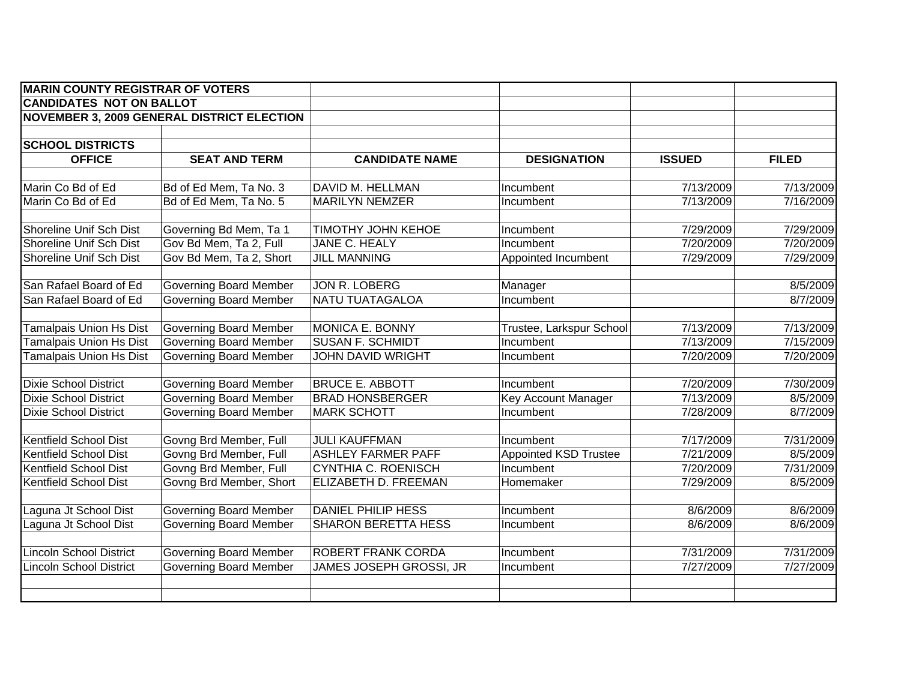| <b>MARIN COUNTY REGISTRAR OF VOTERS</b> |                                                   |                            |                              |               |              |
|-----------------------------------------|---------------------------------------------------|----------------------------|------------------------------|---------------|--------------|
| <b>CANDIDATES NOT ON BALLOT</b>         |                                                   |                            |                              |               |              |
|                                         | <b>NOVEMBER 3, 2009 GENERAL DISTRICT ELECTION</b> |                            |                              |               |              |
|                                         |                                                   |                            |                              |               |              |
| <b>SCHOOL DISTRICTS</b>                 |                                                   |                            |                              |               |              |
| <b>OFFICE</b>                           | <b>SEAT AND TERM</b>                              | <b>CANDIDATE NAME</b>      | <b>DESIGNATION</b>           | <b>ISSUED</b> | <b>FILED</b> |
| Marin Co Bd of Ed                       | Bd of Ed Mem, Ta No. 3                            | DAVID M. HELLMAN           | Incumbent                    | 7/13/2009     | 7/13/2009    |
| Marin Co Bd of Ed                       | Bd of Ed Mem, Ta No. 5                            | <b>MARILYN NEMZER</b>      | Incumbent                    | 7/13/2009     | 7/16/2009    |
| Shoreline Unif Sch Dist                 | Governing Bd Mem, Ta 1                            | TIMOTHY JOHN KEHOE         | Incumbent                    | 7/29/2009     | 7/29/2009    |
| Shoreline Unif Sch Dist                 | Gov Bd Mem, Ta 2, Full                            | JANE C. HEALY              | Incumbent                    | 7/20/2009     | 7/20/2009    |
| Shoreline Unif Sch Dist                 | Gov Bd Mem, Ta 2, Short                           | <b>JILL MANNING</b>        | Appointed Incumbent          | 7/29/2009     | 7/29/2009    |
| San Rafael Board of Ed                  | <b>Governing Board Member</b>                     | JON R. LOBERG              | Manager                      |               | 8/5/2009     |
| San Rafael Board of Ed                  | <b>Governing Board Member</b>                     | NATU TUATAGALOA            | Incumbent                    |               | 8/7/2009     |
| <b>Tamalpais Union Hs Dist</b>          | <b>Governing Board Member</b>                     | MONICA E. BONNY            | Trustee, Larkspur School     | 7/13/2009     | 7/13/2009    |
| <b>Tamalpais Union Hs Dist</b>          | <b>Governing Board Member</b>                     | <b>SUSAN F. SCHMIDT</b>    | Incumbent                    | 7/13/2009     | 7/15/2009    |
| <b>Tamalpais Union Hs Dist</b>          | <b>Governing Board Member</b>                     | <b>JOHN DAVID WRIGHT</b>   | Incumbent                    | 7/20/2009     | 7/20/2009    |
| <b>Dixie School District</b>            | <b>Governing Board Member</b>                     | <b>BRUCE E. ABBOTT</b>     | Incumbent                    | 7/20/2009     | 7/30/2009    |
| <b>Dixie School District</b>            | Governing Board Member                            | <b>BRAD HONSBERGER</b>     | Key Account Manager          | 7/13/2009     | 8/5/2009     |
| <b>Dixie School District</b>            | <b>Governing Board Member</b>                     | <b>MARK SCHOTT</b>         | Incumbent                    | 7/28/2009     | 8/7/2009     |
| <b>Kentfield School Dist</b>            | Govng Brd Member, Full                            | <b>JULI KAUFFMAN</b>       | Incumbent                    | 7/17/2009     | 7/31/2009    |
| <b>Kentfield School Dist</b>            | Govng Brd Member, Full                            | <b>ASHLEY FARMER PAFF</b>  | <b>Appointed KSD Trustee</b> | 7/21/2009     | 8/5/2009     |
| Kentfield School Dist                   | Govng Brd Member, Full                            | CYNTHIA C. ROENISCH        | Incumbent                    | 7/20/2009     | 7/31/2009    |
| Kentfield School Dist                   | Govng Brd Member, Short                           | ELIZABETH D. FREEMAN       | Homemaker                    | 7/29/2009     | 8/5/2009     |
| Laguna Jt School Dist                   | <b>Governing Board Member</b>                     | <b>DANIEL PHILIP HESS</b>  | Incumbent                    | 8/6/2009      | 8/6/2009     |
| Laguna Jt School Dist                   | <b>Governing Board Member</b>                     | <b>SHARON BERETTA HESS</b> | Incumbent                    | 8/6/2009      | 8/6/2009     |
| Lincoln School District                 | <b>Governing Board Member</b>                     | ROBERT FRANK CORDA         | Incumbent                    | 7/31/2009     | 7/31/2009    |
| incoln School District                  | <b>Governing Board Member</b>                     | JAMES JOSEPH GROSSI, JR    | Incumbent                    | 7/27/2009     | 7/27/2009    |
|                                         |                                                   |                            |                              |               |              |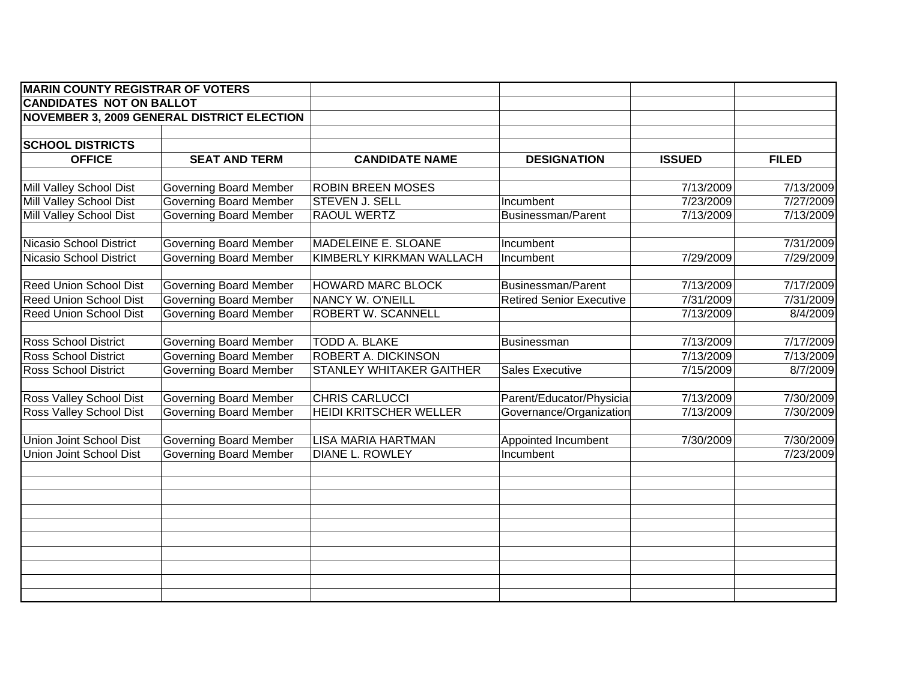| <b>MARIN COUNTY REGISTRAR OF VOTERS</b> |                                                   |                            |                                 |               |              |
|-----------------------------------------|---------------------------------------------------|----------------------------|---------------------------------|---------------|--------------|
| <b>CANDIDATES NOT ON BALLOT</b>         |                                                   |                            |                                 |               |              |
|                                         | <b>NOVEMBER 3, 2009 GENERAL DISTRICT ELECTION</b> |                            |                                 |               |              |
|                                         |                                                   |                            |                                 |               |              |
| <b>SCHOOL DISTRICTS</b>                 |                                                   |                            |                                 |               |              |
| <b>OFFICE</b>                           | <b>SEAT AND TERM</b>                              | <b>CANDIDATE NAME</b>      | <b>DESIGNATION</b>              | <b>ISSUED</b> | <b>FILED</b> |
|                                         |                                                   |                            |                                 |               |              |
| Mill Valley School Dist                 | <b>Governing Board Member</b>                     | <b>ROBIN BREEN MOSES</b>   |                                 | 7/13/2009     | 7/13/2009    |
| Mill Valley School Dist                 | <b>Governing Board Member</b>                     | <b>STEVEN J. SELL</b>      | Incumbent                       | 7/23/2009     | 7/27/2009    |
| Mill Valley School Dist                 | <b>Governing Board Member</b>                     | RAOUL WERTZ                | <b>Businessman/Parent</b>       | 7/13/2009     | 7/13/2009    |
|                                         |                                                   |                            |                                 |               |              |
| Nicasio School District                 | <b>Governing Board Member</b>                     | MADELEINE E. SLOANE        | Incumbent                       |               | 7/31/2009    |
| Nicasio School District                 | <b>Governing Board Member</b>                     | KIMBERLY KIRKMAN WALLACH   | Incumbent                       | 7/29/2009     | 7/29/2009    |
| <b>Reed Union School Dist</b>           | <b>Governing Board Member</b>                     | <b>HOWARD MARC BLOCK</b>   | <b>Businessman/Parent</b>       | 7/13/2009     | 7/17/2009    |
| <b>Reed Union School Dist</b>           | <b>Governing Board Member</b>                     | NANCY W. O'NEILL           | <b>Retired Senior Executive</b> | 7/31/2009     | 7/31/2009    |
| <b>Reed Union School Dist</b>           | <b>Governing Board Member</b>                     | ROBERT W. SCANNELL         |                                 | 7/13/2009     | 8/4/2009     |
|                                         |                                                   |                            |                                 |               |              |
| <b>Ross School District</b>             | <b>Governing Board Member</b>                     | <b>TODD A. BLAKE</b>       | Businessman                     | 7/13/2009     | 7/17/2009    |
| <b>Ross School District</b>             | <b>Governing Board Member</b>                     | <b>ROBERT A. DICKINSON</b> |                                 | 7/13/2009     | 7/13/2009    |
| <b>Ross School District</b>             | <b>Governing Board Member</b>                     | STANLEY WHITAKER GAITHER   | <b>Sales Executive</b>          | 7/15/2009     | 8/7/2009     |
|                                         |                                                   |                            |                                 |               |              |
| Ross Valley School Dist                 | <b>Governing Board Member</b>                     | <b>CHRIS CARLUCCI</b>      | Parent/Educator/Physicial       | 7/13/2009     | 7/30/2009    |
| Ross Valley School Dist                 | <b>Governing Board Member</b>                     | HEIDI KRITSCHER WELLER     | Governance/Organization         | 7/13/2009     | 7/30/2009    |
|                                         |                                                   |                            |                                 |               |              |
| Union Joint School Dist                 | <b>Governing Board Member</b>                     | <b>LISA MARIA HARTMAN</b>  | <b>Appointed Incumbent</b>      | 7/30/2009     | 7/30/2009    |
| Union Joint School Dist                 | <b>Governing Board Member</b>                     | DIANE L. ROWLEY            | Incumbent                       |               | 7/23/2009    |
|                                         |                                                   |                            |                                 |               |              |
|                                         |                                                   |                            |                                 |               |              |
|                                         |                                                   |                            |                                 |               |              |
|                                         |                                                   |                            |                                 |               |              |
|                                         |                                                   |                            |                                 |               |              |
|                                         |                                                   |                            |                                 |               |              |
|                                         |                                                   |                            |                                 |               |              |
|                                         |                                                   |                            |                                 |               |              |
|                                         |                                                   |                            |                                 |               |              |
|                                         |                                                   |                            |                                 |               |              |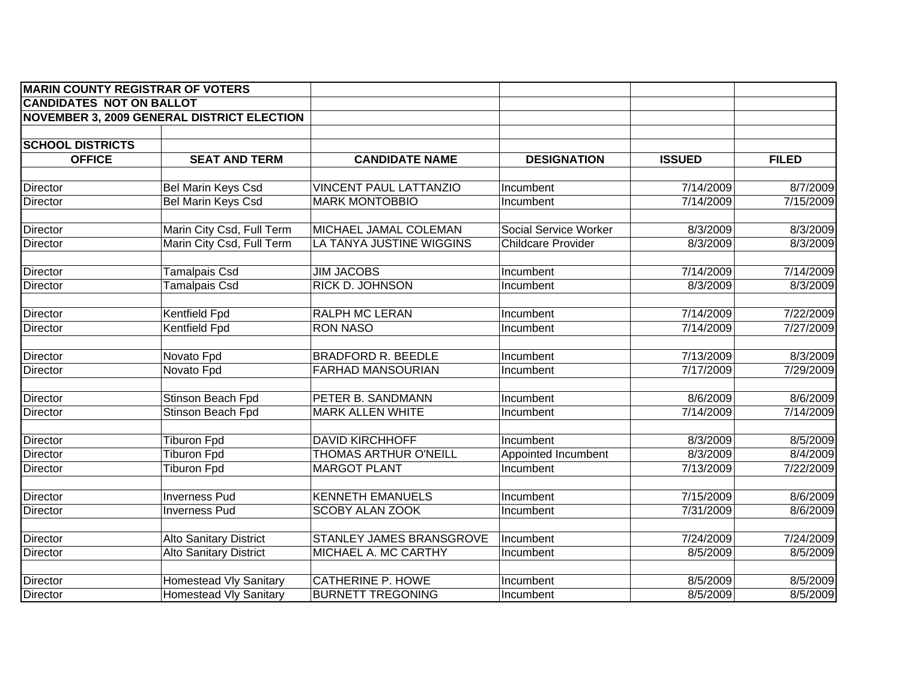| <b>MARIN COUNTY REGISTRAR OF VOTERS</b> |                                                   |                                              |                                  |                       |                       |
|-----------------------------------------|---------------------------------------------------|----------------------------------------------|----------------------------------|-----------------------|-----------------------|
| <b>CANDIDATES NOT ON BALLOT</b>         |                                                   |                                              |                                  |                       |                       |
|                                         | <b>NOVEMBER 3, 2009 GENERAL DISTRICT ELECTION</b> |                                              |                                  |                       |                       |
|                                         |                                                   |                                              |                                  |                       |                       |
| <b>SCHOOL DISTRICTS</b>                 |                                                   |                                              |                                  |                       |                       |
| <b>OFFICE</b>                           | <b>SEAT AND TERM</b>                              | <b>CANDIDATE NAME</b>                        | <b>DESIGNATION</b>               | <b>ISSUED</b>         | <b>FILED</b>          |
| <b>Director</b>                         | <b>Bel Marin Keys Csd</b>                         | <b>VINCENT PAUL LATTANZIO</b>                | Incumbent                        | 7/14/2009             | 8/7/2009              |
| Director                                | <b>Bel Marin Keys Csd</b>                         | <b>MARK MONTOBBIO</b>                        | Incumbent                        | 7/14/2009             | 7/15/2009             |
| Director                                | Marin City Csd, Full Term                         | MICHAEL JAMAL COLEMAN                        | Social Service Worker            | 8/3/2009              | 8/3/2009              |
| Director                                | Marin City Csd, Full Term                         | LA TANYA JUSTINE WIGGINS                     | <b>Childcare Provider</b>        | 8/3/2009              | 8/3/2009              |
| Director                                | <b>Tamalpais Csd</b>                              | <b>JIM JACOBS</b>                            | Incumbent                        | 7/14/2009             | 7/14/2009             |
| Director                                | <b>Tamalpais Csd</b>                              | RICK D. JOHNSON                              | Incumbent                        | 8/3/2009              | 8/3/2009              |
| Director                                | Kentfield Fpd                                     | RALPH MC LERAN                               | Incumbent                        | 7/14/2009             | 7/22/2009             |
| Director                                | Kentfield Fpd                                     | <b>RON NASO</b>                              | Incumbent                        | 7/14/2009             | 7/27/2009             |
| Director                                | Novato Fpd                                        | <b>BRADFORD R. BEEDLE</b>                    | Incumbent                        | 7/13/2009             | 8/3/2009              |
| Director                                | Novato Fpd                                        | FARHAD MANSOURIAN                            | Incumbent                        | 7/17/2009             | 7/29/2009             |
| Director                                | Stinson Beach Fpd                                 | PETER B. SANDMANN                            | Incumbent                        | 8/6/2009              | 8/6/2009              |
| Director                                | Stinson Beach Fpd                                 | <b>MARK ALLEN WHITE</b>                      | Incumbent                        | 7/14/2009             | 7/14/2009             |
|                                         |                                                   |                                              |                                  |                       |                       |
| Director                                | <b>Tiburon Fpd</b>                                | <b>DAVID KIRCHHOFF</b>                       | Incumbent                        | 8/3/2009              | 8/5/2009              |
| Director<br><b>Director</b>             | <b>Tiburon Fpd</b><br><b>Tiburon Fpd</b>          | THOMAS ARTHUR O'NEILL<br><b>MARGOT PLANT</b> | Appointed Incumbent<br>Incumbent | 8/3/2009<br>7/13/2009 | 8/4/2009<br>7/22/2009 |
|                                         |                                                   |                                              |                                  |                       |                       |
| Director                                | <b>Inverness Pud</b>                              | <b>KENNETH EMANUELS</b>                      | Incumbent                        | 7/15/2009             | 8/6/2009              |
| <b>Director</b>                         | <b>Inverness Pud</b>                              | <b>SCOBY ALAN ZOOK</b>                       | Incumbent                        | 7/31/2009             | 8/6/2009              |
| <b>Director</b>                         | <b>Alto Sanitary District</b>                     | STANLEY JAMES BRANSGROVE                     | Incumbent                        | 7/24/2009             | 7/24/2009             |
| <b>Director</b>                         | <b>Alto Sanitary District</b>                     | MICHAEL A. MC CARTHY                         | Incumbent                        | 8/5/2009              | 8/5/2009              |
| Director                                | <b>Homestead Vly Sanitary</b>                     | <b>CATHERINE P. HOWE</b>                     | Incumbent                        | 8/5/2009              | 8/5/2009              |
| <b>Director</b>                         | <b>Homestead Vly Sanitary</b>                     | <b>BURNETT TREGONING</b>                     | Incumbent                        | 8/5/2009              | 8/5/2009              |